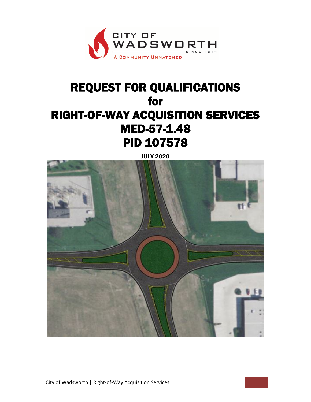

# REQUEST FOR QUALIFICATIONS for RIGHT-OF-WAY ACQUISITION SERVICES MED-57-1.48 **PID 107578**

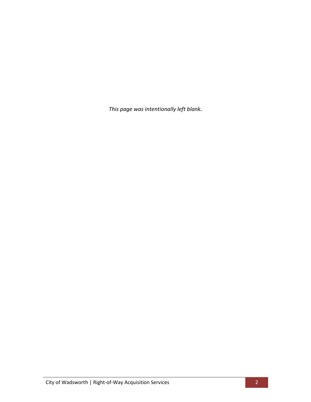*This page was intentionally left blank*.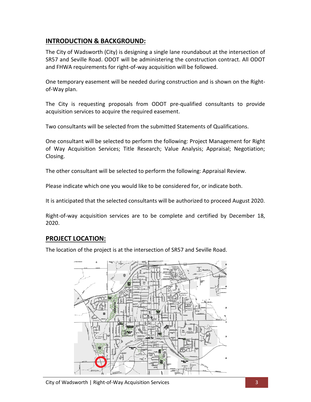# **INTRODUCTION & BACKGROUND:**

The City of Wadsworth (City) is designing a single lane roundabout at the intersection of SR57 and Seville Road. ODOT will be administering the construction contract. All ODOT and FHWA requirements for right-of-way acquisition will be followed.

One temporary easement will be needed during construction and is shown on the Rightof-Way plan.

The City is requesting proposals from ODOT pre-qualified consultants to provide acquisition services to acquire the required easement.

Two consultants will be selected from the submitted Statements of Qualifications.

One consultant will be selected to perform the following: Project Management for Right of Way Acquisition Services; Title Research; Value Analysis; Appraisal; Negotiation; Closing.

The other consultant will be selected to perform the following: Appraisal Review.

Please indicate which one you would like to be considered for, or indicate both.

It is anticipated that the selected consultants will be authorized to proceed August 2020.

Right-of-way acquisition services are to be complete and certified by December 18, 2020.

# **PROJECT LOCATION:**

The location of the project is at the intersection of SR57 and Seville Road.

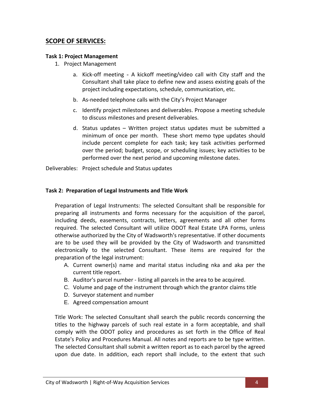# **SCOPE OF SERVICES:**

#### **Task 1: Project Management**

- 1. Project Management
	- a. Kick-off meeting A kickoff meeting/video call with City staff and the Consultant shall take place to define new and assess existing goals of the project including expectations, schedule, communication, etc.
	- b. As-needed telephone calls with the City's Project Manager
	- c. Identify project milestones and deliverables. Propose a meeting schedule to discuss milestones and present deliverables.
	- d. Status updates Written project status updates must be submitted a minimum of once per month. These short memo type updates should include percent complete for each task; key task activities performed over the period; budget, scope, or scheduling issues; key activities to be performed over the next period and upcoming milestone dates.

Deliverables: Project schedule and Status updates

### **Task 2: Preparation of Legal Instruments and Title Work**

Preparation of Legal Instruments: The selected Consultant shall be responsible for preparing all instruments and forms necessary for the acquisition of the parcel, including deeds, easements, contracts, letters, agreements and all other forms required. The selected Consultant will utilize ODOT Real Estate LPA Forms, unless otherwise authorized by the City of Wadsworth's representative. If other documents are to be used they will be provided by the City of Wadsworth and transmitted electronically to the selected Consultant. These items are required for the preparation of the legal instrument:

- A. Current owner(s) name and marital status including nka and aka per the current title report.
- B. Auditor's parcel number listing all parcels in the area to be acquired.
- C. Volume and page of the instrument through which the grantor claims title
- D. Surveyor statement and number
- E. Agreed compensation amount

Title Work: The selected Consultant shall search the public records concerning the titles to the highway parcels of such real estate in a form acceptable, and shall comply with the ODOT policy and procedures as set forth in the Office of Real Estate's Policy and Procedures Manual. All notes and reports are to be type written. The selected Consultant shall submit a written report as to each parcel by the agreed upon due date. In addition, each report shall include, to the extent that such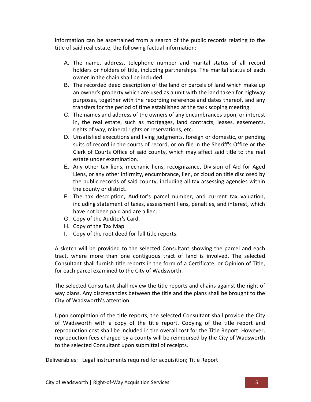information can be ascertained from a search of the public records relating to the title of said real estate, the following factual information:

- A. The name, address, telephone number and marital status of all record holders or holders of title, including partnerships. The marital status of each owner in the chain shall be included.
- B. The recorded deed description of the land or parcels of land which make up an owner's property which are used as a unit with the land taken for highway purposes, together with the recording reference and dates thereof, and any transfers for the period of time established at the task scoping meeting.
- C. The names and address of the owners of any encumbrances upon, or interest in, the real estate, such as mortgages, land contracts, leases, easements, rights of way, mineral rights or reservations, etc.
- D. Unsatisfied executions and living judgments, foreign or domestic, or pending suits of record in the courts of record, or on file in the Sheriff's Office or the Clerk of Courts Office of said county, which may affect said title to the real estate under examination.
- E. Any other tax liens, mechanic liens, recognizance, Division of Aid for Aged Liens, or any other infirmity, encumbrance, lien, or cloud on title disclosed by the public records of said county, including all tax assessing agencies within the county or district.
- F. The tax description, Auditor's parcel number, and current tax valuation, including statement of taxes, assessment liens, penalties, and interest, which have not been paid and are a lien.
- G. Copy of the Auditor's Card.
- H. Copy of the Tax Map
- I. Copy of the root deed for full title reports.

A sketch will be provided to the selected Consultant showing the parcel and each tract, where more than one contiguous tract of land is involved. The selected Consultant shall furnish title reports in the form of a Certificate, or Opinion of Title, for each parcel examined to the City of Wadsworth.

The selected Consultant shall review the title reports and chains against the right of way plans. Any discrepancies between the title and the plans shall be brought to the City of Wadsworth's attention.

Upon completion of the title reports, the selected Consultant shall provide the City of Wadsworth with a copy of the title report. Copying of the title report and reproduction cost shall be included in the overall cost for the Title Report. However, reproduction fees charged by a county will be reimbursed by the City of Wadsworth to the selected Consultant upon submittal of receipts.

Deliverables: Legal instruments required for acquisition; Title Report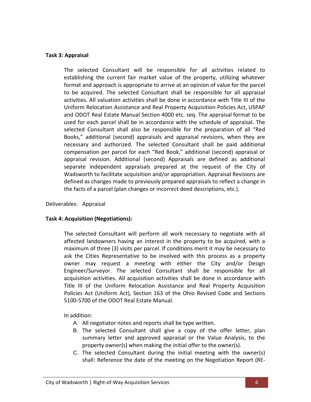#### **Task 3: Appraisal**

The selected Consultant will be responsible for all activities related to establishing the current fair market value of the property, utilizing whatever format and approach is appropriate to arrive at an opinion of value for the parcel to be acquired. The selected Consultant shall be responsible for all appraisal activities. All valuation activities shall be done in accordance with Title III of the Uniform Relocation Assistance and Real Property Acquisition Policies Act, USPAP and ODOT Real Estate Manual Section 4000 etc. seq. The appraisal format to be used for each parcel shall be in accordance with the schedule of appraisal. The selected Consultant shall also be responsible for the preparation of all "Red Books," additional (second) appraisals and appraisal revisions, when they are necessary and authorized. The selected Consultant shall be paid additional compensation per parcel for each "Red Book," additional (second) appraisal or appraisal revision. Additional (second) Appraisals are defined as additional separate independent appraisals prepared at the request of the City of Wadsworth to facilitate acquisition and/or appropriation. Appraisal Revisions are defined as changes made to previously prepared appraisals to reflect a change in the facts of a parcel (plan changes or incorrect deed descriptions, etc.).

#### Deliverables: Appraisal

#### **Task 4: Acquisition (Negotiations):**

The selected Consultant will perform all work necessary to negotiate with all affected landowners having an interest in the property to be acquired, with a maximum of three (3) visits per parcel. If conditions merit it may be necessary to ask the Cities Representative to be involved with this process as a property owner may request a meeting with either the City and/or Design Engineer/Surveyor. The selected Consultant shall be responsible for all acquisition activities. All acquisition activities shall be done in accordance with Title III of the Uniform Relocation Assistance and Real Property Acquisition Policies Act (Uniform Act), Section 163 of the Ohio Revised Code and Sections 5100-5700 of the ODOT Real Estate Manual.

In addition:

- A. All negotiator notes and reports shall be type written.
- B. The selected Consultant shall give a copy of the offer letter, plan summary letter and approved appraisal or the Value Analysis, to the property owner(s) when making the initial offer to the owner(s).
- C. The selected Consultant during the initial meeting with the owner(s) shall: Reference the date of the meeting on the Negotiation Report (RE-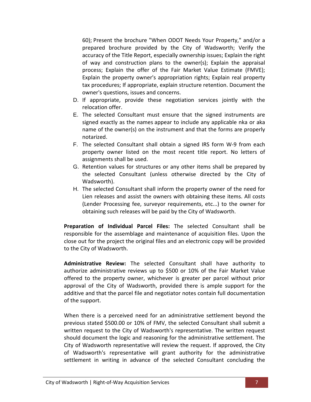60); Present the brochure "When ODOT Needs Your Property," and/or a prepared brochure provided by the City of Wadsworth; Verify the accuracy of the Title Report, especially ownership issues; Explain the right of way and construction plans to the owner(s); Explain the appraisal process; Explain the offer of the Fair Market Value Estimate (FMVE); Explain the property owner's appropriation rights; Explain real property tax procedures; If appropriate, explain structure retention. Document the owner's questions, issues and concerns.

- D. If appropriate, provide these negotiation services jointly with the relocation offer.
- E. The selected Consultant must ensure that the signed instruments are signed exactly as the names appear to include any applicable nka or aka name of the owner(s) on the instrument and that the forms are properly notarized.
- F. The selected Consultant shall obtain a signed IRS form W-9 from each property owner listed on the most recent title report. No letters of assignments shall be used.
- G. Retention values for structures or any other items shall be prepared by the selected Consultant (unless otherwise directed by the City of Wadsworth).
- H. The selected Consultant shall inform the property owner of the need for Lien releases and assist the owners with obtaining these items. All costs (Lender Processing fee, surveyor requirements, etc...) to the owner for obtaining such releases will be paid by the City of Wadsworth.

**Preparation of Individual Parcel Files:** The selected Consultant shall be responsible for the assemblage and maintenance of acquisition files. Upon the close out for the project the original files and an electronic copy will be provided to the City of Wadsworth.

**Administrative Review:** The selected Consultant shall have authority to authorize administrative reviews up to \$500 or 10% of the Fair Market Value offered to the property owner, whichever is greater per parcel without prior approval of the City of Wadsworth, provided there is ample support for the additive and that the parcel file and negotiator notes contain full documentation of the support.

When there is a perceived need for an administrative settlement beyond the previous stated \$500.00 or 10% of FMV, the selected Consultant shall submit a written request to the City of Wadsworth's representative. The written request should document the logic and reasoning for the administrative settlement. The City of Wadsworth representative will review the request. If approved, the City of Wadsworth's representative will grant authority for the administrative settlement in writing in advance of the selected Consultant concluding the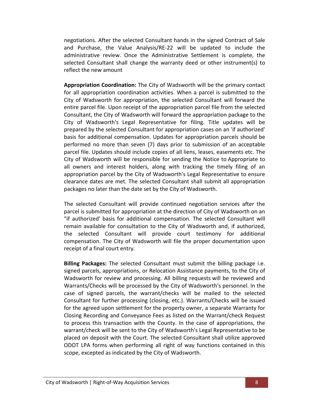negotiations. After the selected Consultant hands in the signed Contract of Sale and Purchase, the Value Analysis/RE-22 will be updated to include the administrative review. Once the Administrative Settlement is complete, the selected Consultant shall change the warranty deed or other instrument(s) to reflect the new amount

**Appropriation Coordination:** The City of Wadsworth will be the primary contact for all appropriation coordination activities. When a parcel is submitted to the City of Wadsworth for appropriation, the selected Consultant will forward the entire parcel file. Upon receipt of the appropriation parcel file from the selected Consultant, the City of Wadsworth will forward the appropriation package to the City of Wadsworth's Legal Representative for filing. Title updates will be prepared by the selected Consultant for appropriation cases on an 'if authorized' basis for additional compensation. Updates for appropriation parcels should be performed no more than seven (7) days prior to submission of an acceptable parcel file. Updates should include copies of all liens, leases, easements etc. The City of Wadsworth will be responsible for sending the Notice to Appropriate to all owners and interest holders, along with tracking the timely filing of an appropriation parcel by the City of Wadsworth's Legal Representative to ensure clearance dates are met. The selected Consultant shall submit all appropriation packages no later than the date set by the City of Wadsworth.

The selected Consultant will provide continued negotiation services after the parcel is submitted for appropriation at the direction of City of Wadsworth on an "if authorized' basis for additional compensation. The selected Consultant will remain available for consultation to the City of Wadsworth and, if authorized, the selected Consultant will provide court testimony for additional compensation. The City of Wadsworth will file the proper documentation upon receipt of a final court entry.

**Billing Packages:** The selected Consultant must submit the billing package i.e. signed parcels, appropriations, or Relocation Assistance payments, to the City of Wadsworth for review and processing. All billing requests will be reviewed and Warrants/Checks will be processed by the City of Wadsworth's personnel. In the case of signed parcels, the warrant/checks will be mailed to the selected Consultant for further processing (closing, etc.). Warrants/Checks will be issued for the agreed upon settlement for the property owner, a separate Warranty for Closing Recording and Conveyance Fees as listed on the Warrant/check Request to process this transaction with the County. In the case of appropriations, the warrant/check will be sent to the City of Wadsworth's Legal Representative to be placed on deposit with the Court. The selected Consultant shall utilize approved ODOT LPA forms when performing all right of way functions contained in this scope, excepted as indicated by the City of Wadsworth.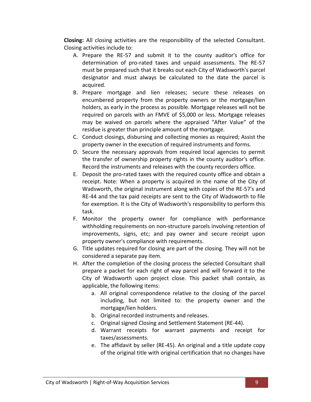**Closing:** All closing activities are the responsibility of the selected Consultant. Closing activities include to:

- A. Prepare the RE-57 and submit it to the county auditor's office for determination of pro-rated taxes and unpaid assessments. The RE-57 must be prepared such that it breaks out each City of Wadsworth's parcel designator and must always be calculated to the date the parcel is acquired.
- B. Prepare mortgage and lien releases; secure these releases on encumbered property from the property owners or the mortgage/lien holders, as early in the process as possible. Mortgage releases will not be required on parcels with an FMVE of \$5,000 or less. Mortgage releases may be waived on parcels where the appraised "After Value" of the residue is greater than principle amount of the mortgage.
- C. Conduct closings, disbursing and collecting monies as required; Assist the property owner in the execution of required instruments and forms.
- D. Secure the necessary approvals from required local agencies to permit the transfer of ownership property rights in the county auditor's office. Record the instruments and releases with the county recorders office.
- E. Deposit the pro-rated taxes with the required county office and obtain a receipt. Note: When a property is acquired in the name of the City of Wadsworth, the original instrument along with copies of the RE-57's and RE-44 and the tax paid receipts are sent to the City of Wadsworth to file for exemption. It is the City of Wadsworth's responsibility to perform this task.
- F. Monitor the property owner for compliance with performance withholding requirements on non-structure parcels involving retention of improvements, signs, etc; and pay owner and secure receipt upon property owner's compliance with requirements.
- G. Title updates required for closing are part of the closing. They will not be considered a separate pay item.
- H. After the completion of the closing process the selected Consultant shall prepare a packet for each right of way parcel and will forward it to the City of Wadsworth upon project close. This packet shall contain, as applicable, the following items:
	- a. All original correspondence relative to the closing of the parcel including, but not limited to: the property owner and the mortgage/lien holders.
	- b. Original recorded instruments and releases.
	- c. Original signed Closing and Settlement Statement (RE-44).
	- d. Warrant receipts for warrant payments and receipt for taxes/assessments.
	- e. The affidavit by seller (RE-45). An original and a title update copy of the original title with original certification that no changes have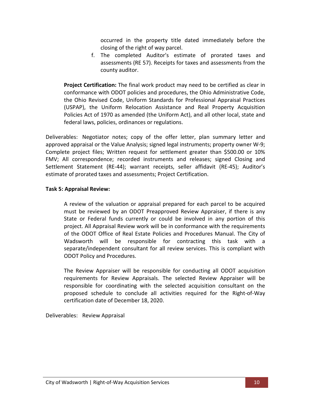occurred in the property title dated immediately before the closing of the right of way parcel.

f. The completed Auditor's estimate of prorated taxes and assessments (RE 57). Receipts for taxes and assessments from the county auditor.

**Project Certification:** The final work product may need to be certified as clear in conformance with ODOT policies and procedures, the Ohio Administrative Code, the Ohio Revised Code, Uniform Standards for Professional Appraisal Practices (USPAP), the Uniform Relocation Assistance and Real Property Acquisition Policies Act of 1970 as amended (the Uniform Act), and all other local, state and federal laws, policies, ordinances or regulations.

Deliverables: Negotiator notes; copy of the offer letter, plan summary letter and approved appraisal or the Value Analysis; signed legal instruments; property owner W-9; Complete project files; Written request for settlement greater than \$500.00 or 10% FMV; All correspondence; recorded instruments and releases; signed Closing and Settlement Statement (RE-44); warrant receipts, seller affidavit (RE-45); Auditor's estimate of prorated taxes and assessments; Project Certification.

#### **Task 5: Appraisal Review:**

A review of the valuation or appraisal prepared for each parcel to be acquired must be reviewed by an ODOT Preapproved Review Appraiser, if there is any State or Federal funds currently or could be involved in any portion of this project. All Appraisal Review work will be in conformance with the requirements of the ODOT Office of Real Estate Policies and Procedures Manual. The City of Wadsworth will be responsible for contracting this task with a separate/independent consultant for all review services. This is compliant with ODOT Policy and Procedures.

The Review Appraiser will be responsible for conducting all ODOT acquisition requirements for Review Appraisals. The selected Review Appraiser will be responsible for coordinating with the selected acquisition consultant on the proposed schedule to conclude all activities required for the Right-of-Way certification date of December 18, 2020.

Deliverables: Review Appraisal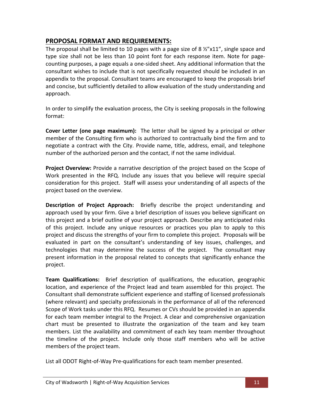# **PROPOSAL FORMAT AND REQUIREMENTS:**

The proposal shall be limited to 10 pages with a page size of 8  $\frac{y''}{x11''}$ , single space and type size shall not be less than 10 point font for each response item. Note for pagecounting purposes, a page equals a one-sided sheet. Any additional information that the consultant wishes to include that is not specifically requested should be included in an appendix to the proposal. Consultant teams are encouraged to keep the proposals brief and concise, but sufficiently detailed to allow evaluation of the study understanding and approach.

In order to simplify the evaluation process, the City is seeking proposals in the following format:

**Cover Letter (one page maximum):** The letter shall be signed by a principal or other member of the Consulting firm who is authorized to contractually bind the firm and to negotiate a contract with the City. Provide name, title, address, email, and telephone number of the authorized person and the contact, if not the same individual.

**Project Overview:** Provide a narrative description of the project based on the Scope of Work presented in the RFQ. Include any issues that you believe will require special consideration for this project. Staff will assess your understanding of all aspects of the project based on the overview.

**Description of Project Approach:** Briefly describe the project understanding and approach used by your firm. Give a brief description of issues you believe significant on this project and a brief outline of your project approach. Describe any anticipated risks of this project. Include any unique resources or practices you plan to apply to this project and discuss the strengths of your firm to complete this project. Proposals will be evaluated in part on the consultant's understanding of key issues, challenges, and technologies that may determine the success of the project. The consultant may present information in the proposal related to concepts that significantly enhance the project.

**Team Qualifications:** Brief description of qualifications, the education, geographic location, and experience of the Project lead and team assembled for this project. The Consultant shall demonstrate sufficient experience and staffing of licensed professionals (where relevant) and specialty professionals in the performance of all of the referenced Scope of Work tasks under this RFQ. Resumes or CVs should be provided in an appendix for each team member integral to the Project. A clear and comprehensive organization chart must be presented to illustrate the organization of the team and key team members. List the availability and commitment of each key team member throughout the timeline of the project. Include only those staff members who will be active members of the project team.

List all ODOT Right-of-Way Pre-qualifications for each team member presented.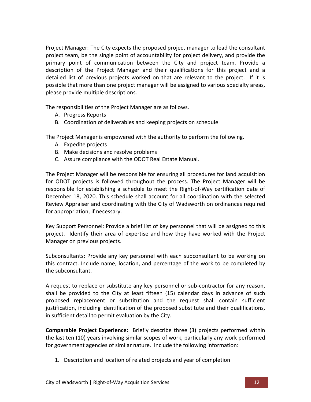Project Manager: The City expects the proposed project manager to lead the consultant project team, be the single point of accountability for project delivery, and provide the primary point of communication between the City and project team. Provide a description of the Project Manager and their qualifications for this project and a detailed list of previous projects worked on that are relevant to the project. If it is possible that more than one project manager will be assigned to various specialty areas, please provide multiple descriptions.

The responsibilities of the Project Manager are as follows.

- A. Progress Reports
- B. Coordination of deliverables and keeping projects on schedule

The Project Manager is empowered with the authority to perform the following.

- A. Expedite projects
- B. Make decisions and resolve problems
- C. Assure compliance with the ODOT Real Estate Manual.

The Project Manager will be responsible for ensuring all procedures for land acquisition for ODOT projects is followed throughout the process. The Project Manager will be responsible for establishing a schedule to meet the Right-of-Way certification date of December 18, 2020. This schedule shall account for all coordination with the selected Review Appraiser and coordinating with the City of Wadsworth on ordinances required for appropriation, if necessary.

Key Support Personnel: Provide a brief list of key personnel that will be assigned to this project. Identify their area of expertise and how they have worked with the Project Manager on previous projects.

Subconsultants: Provide any key personnel with each subconsultant to be working on this contract. Include name, location, and percentage of the work to be completed by the subconsultant.

A request to replace or substitute any key personnel or sub-contractor for any reason, shall be provided to the City at least fifteen (15) calendar days in advance of such proposed replacement or substitution and the request shall contain sufficient justification, including identification of the proposed substitute and their qualifications, in sufficient detail to permit evaluation by the City.

**Comparable Project Experience:** Briefly describe three (3) projects performed within the last ten (10) years involving similar scopes of work, particularly any work performed for government agencies of similar nature. Include the following information:

1. Description and location of related projects and year of completion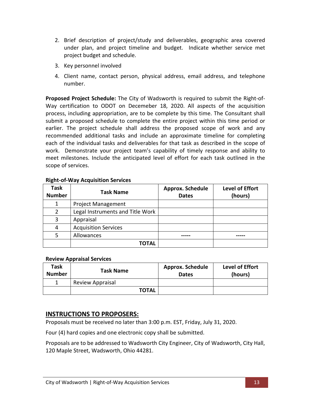- 2. Brief description of project/study and deliverables, geographic area covered under plan, and project timeline and budget. Indicate whether service met project budget and schedule.
- 3. Key personnel involved
- 4. Client name, contact person, physical address, email address, and telephone number.

**Proposed Project Schedule:** The City of Wadsworth is required to submit the Right-of-Way certification to ODOT on Decemeber 18, 2020. All aspects of the acquisition process, including appropriation, are to be complete by this time. The Consultant shall submit a proposed schedule to complete the entire project within this time period or earlier. The project schedule shall address the proposed scope of work and any recommended additional tasks and include an approximate timeline for completing each of the individual tasks and deliverables for that task as described in the scope of work. Demonstrate your project team's capability of timely response and ability to meet milestones. Include the anticipated level of effort for each task outlined in the scope of services.

| <b>Task</b><br><b>Number</b> | <b>Task Name</b>                 | <b>Approx. Schedule</b><br><b>Dates</b> | <b>Level of Effort</b><br>(hours) |
|------------------------------|----------------------------------|-----------------------------------------|-----------------------------------|
| 1                            | <b>Project Management</b>        |                                         |                                   |
| 2                            | Legal Instruments and Title Work |                                         |                                   |
| 3                            | Appraisal                        |                                         |                                   |
| 4                            | <b>Acquisition Services</b>      |                                         |                                   |
| 5                            | Allowances                       |                                         |                                   |
|                              | ΤΟΤΑL                            |                                         |                                   |

#### **Right-of-Way Acquisition Services**

#### **Review Appraisal Services**

| Task<br><b>Number</b> | <b>Task Name</b> | <b>Approx. Schedule</b><br><b>Dates</b> | Level of Effort<br>(hours) |
|-----------------------|------------------|-----------------------------------------|----------------------------|
|                       | Review Appraisal |                                         |                            |
|                       | <b>TOTAL</b>     |                                         |                            |

# **INSTRUCTIONS TO PROPOSERS:**

Proposals must be received no later than 3:00 p.m. EST, Friday, July 31, 2020.

Four (4) hard copies and one electronic copy shall be submitted.

Proposals are to be addressed to Wadsworth City Engineer, City of Wadsworth, City Hall, 120 Maple Street, Wadsworth, Ohio 44281.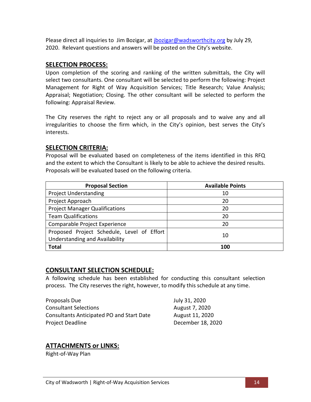Please direct all inquiries to Jim Bozigar, at [jbozigar@wadsworthcity.org](mailto:vmccauley@wadsworthcity.org) by July 29, 2020. Relevant questions and answers will be posted on the City's website.

## **SELECTION PROCESS:**

Upon completion of the scoring and ranking of the written submittals, the City will select two consultants. One consultant will be selected to perform the following: Project Management for Right of Way Acquisition Services; Title Research; Value Analysis; Appraisal; Negotiation; Closing. The other consultant will be selected to perform the following: Appraisal Review.

The City reserves the right to reject any or all proposals and to waive any and all irregularities to choose the firm which, in the City's opinion, best serves the City's interests.

## **SELECTION CRITERIA:**

Proposal will be evaluated based on completeness of the items identified in this RFQ and the extent to which the Consultant is likely to be able to achieve the desired results. Proposals will be evaluated based on the following criteria.

| <b>Proposal Section</b>                    | <b>Available Points</b> |  |
|--------------------------------------------|-------------------------|--|
| <b>Project Understanding</b>               | 10                      |  |
| Project Approach                           | 20                      |  |
| <b>Project Manager Qualifications</b>      | 20                      |  |
| <b>Team Qualifications</b>                 | 20                      |  |
| Comparable Project Experience              | 20                      |  |
| Proposed Project Schedule, Level of Effort | 10                      |  |
| <b>Understanding and Availability</b>      |                         |  |
| <b>Total</b>                               | 100                     |  |

# **CONSULTANT SELECTION SCHEDULE:**

A following schedule has been established for conducting this consultant selection process. The City reserves the right, however, to modify this schedule at any time.

| Proposals Due                                    | July 31, 2020     |
|--------------------------------------------------|-------------------|
| <b>Consultant Selections</b>                     | August 7, 2020    |
| <b>Consultants Anticipated PO and Start Date</b> | August 11, 2020   |
| Project Deadline                                 | December 18, 2020 |

# **ATTACHMENTS or LINKS:**

Right-of-Way Plan